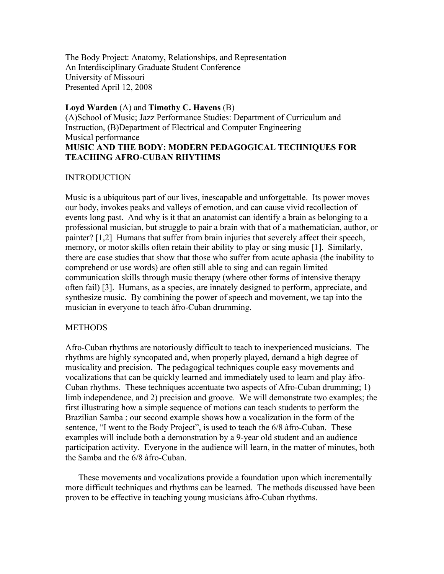The Body Project: Anatomy, Relationships, and Representation An Interdisciplinary Graduate Student Conference University of Missouri Presented April 12, 2008

## **Loyd Warden** (A) and **Timothy C. Havens** (B)

(A)School of Music; Jazz Performance Studies: Department of Curriculum and Instruction, (B)Department of Electrical and Computer Engineering Musical performance **MUSIC AND THE BODY: MODERN PEDAGOGICAL TECHNIQUES FOR TEACHING AFRO-CUBAN RHYTHMS**

## INTRODUCTION

Music is a ubiquitous part of our lives, inescapable and unforgettable. Its power moves our body, invokes peaks and valleys of emotion, and can cause vivid recollection of events long past. And why is it that an anatomist can identify a brain as belonging to a professional musician, but struggle to pair a brain with that of a mathematician, author, or painter? [1,2] Humans that suffer from brain injuries that severely affect their speech, memory, or motor skills often retain their ability to play or sing music [1]. Similarly, there are case studies that show that those who suffer from acute aphasia (the inability to comprehend or use words) are often still able to sing and can regain limited communication skills through music therapy (where other forms of intensive therapy often fail) [3]. Humans, as a species, are innately designed to perform, appreciate, and synthesize music. By combining the power of speech and movement, we tap into the musician in everyone to teach àfro-Cuban drumming.

# METHODS

Afro-Cuban rhythms are notoriously difficult to teach to inexperienced musicians. The rhythms are highly syncopated and, when properly played, demand a high degree of musicality and precision. The pedagogical techniques couple easy movements and vocalizations that can be quickly learned and immediately used to learn and play àfro-Cuban rhythms. These techniques accentuate two aspects of Afro-Cuban drumming; 1) limb independence, and 2) precision and groove. We will demonstrate two examples; the first illustrating how a simple sequence of motions can teach students to perform the Brazilian Samba ; our second example shows how a vocalization in the form of the sentence, "I went to the Body Project", is used to teach the 6/8 àfro-Cuban. These examples will include both a demonstration by a 9-year old student and an audience participation activity. Everyone in the audience will learn, in the matter of minutes, both the Samba and the 6/8 àfro-Cuban.

 These movements and vocalizations provide a foundation upon which incrementally more difficult techniques and rhythms can be learned. The methods discussed have been proven to be effective in teaching young musicians àfro-Cuban rhythms.